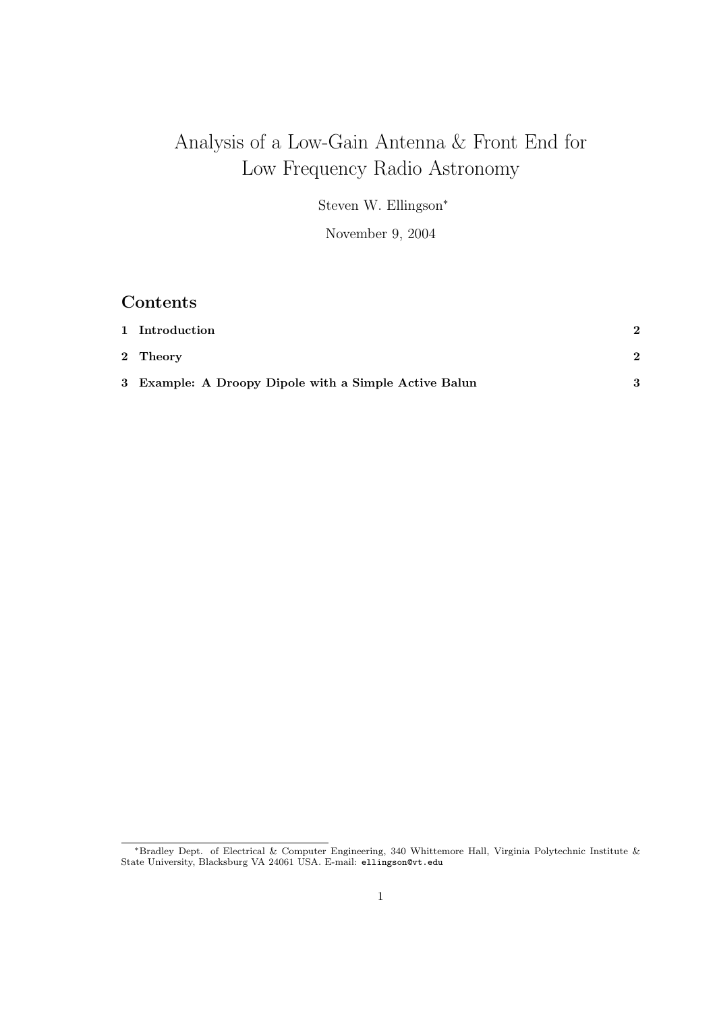# Analysis of a Low-Gain Antenna & Front End for Low Frequency Radio Astronomy

Steven W. Ellingson<sup>∗</sup>

November 9, 2004

# Contents

| 1 Introduction                                        |  |
|-------------------------------------------------------|--|
| 2 Theory                                              |  |
| 3 Example: A Droopy Dipole with a Simple Active Balun |  |

<sup>∗</sup>Bradley Dept. of Electrical & Computer Engineering, 340 Whittemore Hall, Virginia Polytechnic Institute & State University, Blacksburg VA 24061 USA. E-mail: ellingson@vt.edu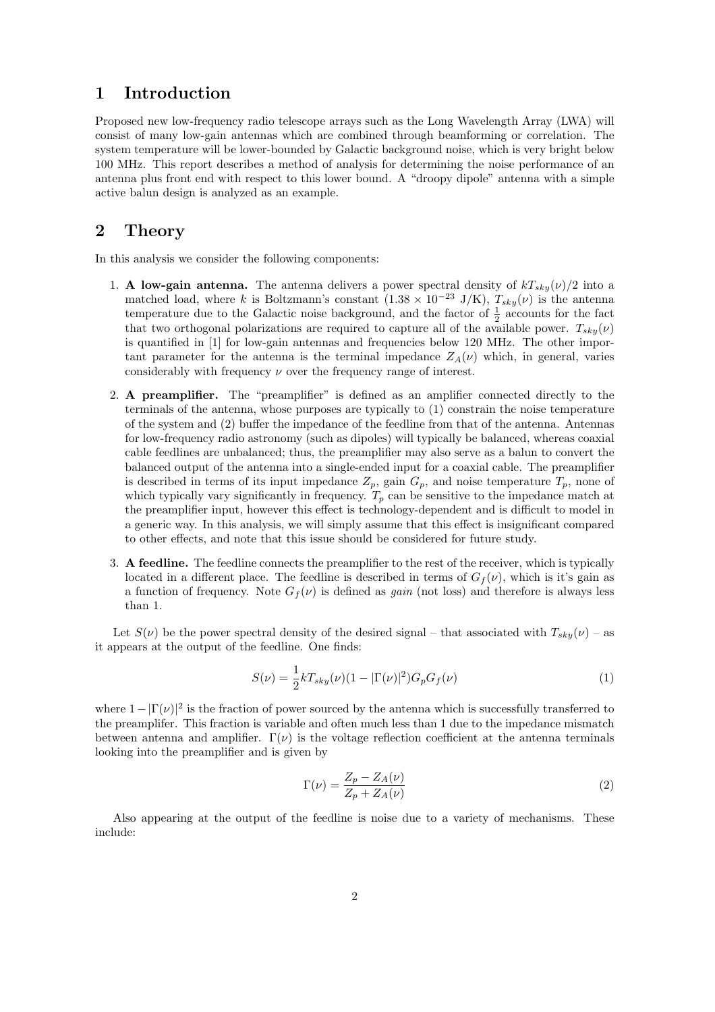### 1 Introduction

Proposed new low-frequency radio telescope arrays such as the Long Wavelength Array (LWA) will consist of many low-gain antennas which are combined through beamforming or correlation. The system temperature will be lower-bounded by Galactic background noise, which is very bright below 100 MHz. This report describes a method of analysis for determining the noise performance of an antenna plus front end with respect to this lower bound. A "droopy dipole" antenna with a simple active balun design is analyzed as an example.

## 2 Theory

In this analysis we consider the following components:

- 1. A low-gain antenna. The antenna delivers a power spectral density of  $kT_{sky}(\nu)/2$  into a matched load, where k is Boltzmann's constant  $(1.38 \times 10^{-23} \text{ J/K})$ ,  $T_{sky}(\nu)$  is the antenna temperature due to the Galactic noise background, and the factor of  $\frac{1}{2}$  accounts for the fact that two orthogonal polarizations are required to capture all of the available power.  $T_{sky}(\nu)$ is quantified in [1] for low-gain antennas and frequencies below 120 MHz. The other important parameter for the antenna is the terminal impedance  $Z_A(\nu)$  which, in general, varies considerably with frequency  $\nu$  over the frequency range of interest.
- 2. A preamplifier. The "preamplifier" is defined as an amplifier connected directly to the terminals of the antenna, whose purposes are typically to (1) constrain the noise temperature of the system and (2) buffer the impedance of the feedline from that of the antenna. Antennas for low-frequency radio astronomy (such as dipoles) will typically be balanced, whereas coaxial cable feedlines are unbalanced; thus, the preamplifier may also serve as a balun to convert the balanced output of the antenna into a single-ended input for a coaxial cable. The preamplifier is described in terms of its input impedance  $Z_p$ , gain  $G_p$ , and noise temperature  $T_p$ , none of which typically vary significantly in frequency.  $T_p$  can be sensitive to the impedance match at the preamplifier input, however this effect is technology-dependent and is difficult to model in a generic way. In this analysis, we will simply assume that this effect is insignificant compared to other effects, and note that this issue should be considered for future study.
- 3. A feedline. The feedline connects the preamplifier to the rest of the receiver, which is typically located in a different place. The feedline is described in terms of  $G_f(\nu)$ , which is it's gain as a function of frequency. Note  $G_f(\nu)$  is defined as *gain* (not loss) and therefore is always less than 1.

Let  $S(\nu)$  be the power spectral density of the desired signal – that associated with  $T_{sky}(\nu)$  – as it appears at the output of the feedline. One finds:

$$
S(\nu) = \frac{1}{2}kT_{sky}(\nu)(1 - |\Gamma(\nu)|^2)G_p G_f(\nu)
$$
\n(1)

where  $1 - |\Gamma(\nu)|^2$  is the fraction of power sourced by the antenna which is successfully transferred to the preamplifer. This fraction is variable and often much less than 1 due to the impedance mismatch between antenna and amplifier.  $\Gamma(\nu)$  is the voltage reflection coefficient at the antenna terminals looking into the preamplifier and is given by

$$
\Gamma(\nu) = \frac{Z_p - Z_A(\nu)}{Z_p + Z_A(\nu)}\tag{2}
$$

Also appearing at the output of the feedline is noise due to a variety of mechanisms. These include: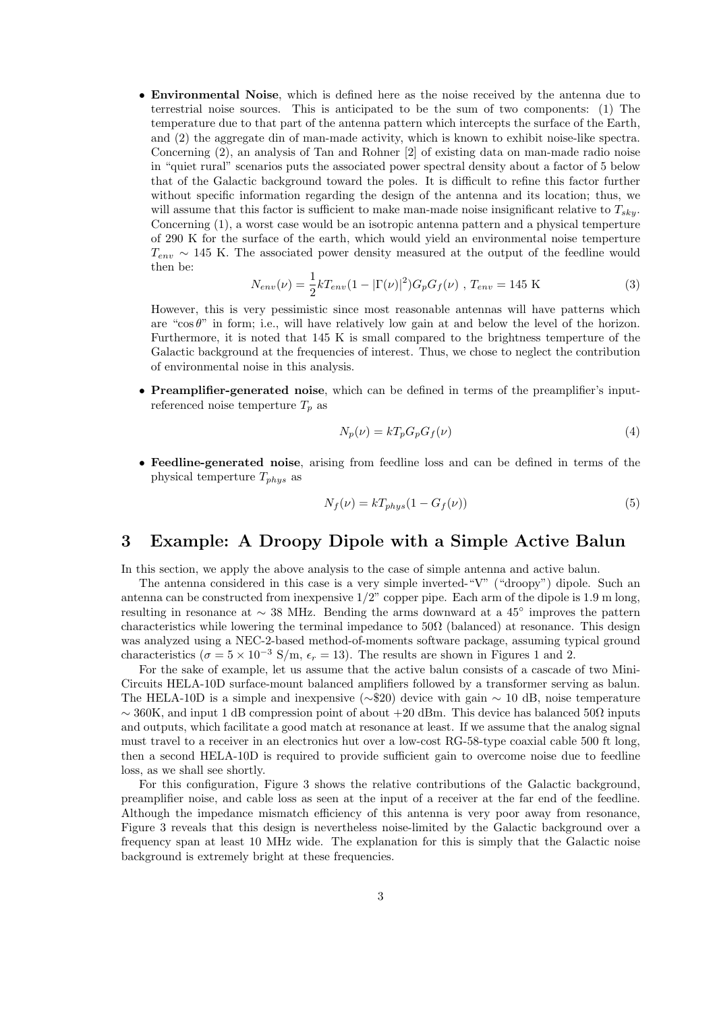• Environmental Noise, which is defined here as the noise received by the antenna due to terrestrial noise sources. This is anticipated to be the sum of two components: (1) The temperature due to that part of the antenna pattern which intercepts the surface of the Earth, and (2) the aggregate din of man-made activity, which is known to exhibit noise-like spectra. Concerning (2), an analysis of Tan and Rohner [2] of existing data on man-made radio noise in "quiet rural" scenarios puts the associated power spectral density about a factor of 5 below that of the Galactic background toward the poles. It is difficult to refine this factor further without specific information regarding the design of the antenna and its location; thus, we will assume that this factor is sufficient to make man-made noise insignificant relative to  $T_{sky}$ . Concerning (1), a worst case would be an isotropic antenna pattern and a physical temperture of 290 K for the surface of the earth, which would yield an environmental noise temperture  $T_{env} \sim 145$  K. The associated power density measured at the output of the feedline would then be:

$$
N_{env}(\nu) = \frac{1}{2} k T_{env} (1 - |\Gamma(\nu)|^2) G_p G_f(\nu) , T_{env} = 145 \text{ K}
$$
 (3)

However, this is very pessimistic since most reasonable antennas will have patterns which are "cos $\theta$ " in form; i.e., will have relatively low gain at and below the level of the horizon. Furthermore, it is noted that 145 K is small compared to the brightness temperture of the Galactic background at the frequencies of interest. Thus, we chose to neglect the contribution of environmental noise in this analysis.

• Preamplifier-generated noise, which can be defined in terms of the preamplifier's inputreferenced noise temperture  $T_p$  as

$$
N_p(\nu) = kT_p G_p G_f(\nu) \tag{4}
$$

• Feedline-generated noise, arising from feedline loss and can be defined in terms of the physical temperture  $T_{phys}$  as

$$
N_f(\nu) = kT_{phys}(1 - G_f(\nu))\tag{5}
$$

### 3 Example: A Droopy Dipole with a Simple Active Balun

In this section, we apply the above analysis to the case of simple antenna and active balun.

The antenna considered in this case is a very simple inverted-"V" ("droopy") dipole. Such an antenna can be constructed from inexpensive 1/2" copper pipe. Each arm of the dipole is 1.9 m long, resulting in resonance at ∼ 38 MHz. Bending the arms downward at a 45◦ improves the pattern characteristics while lowering the terminal impedance to  $50\Omega$  (balanced) at resonance. This design was analyzed using a NEC-2-based method-of-moments software package, assuming typical ground characteristics ( $\sigma = 5 \times 10^{-3}$  S/m,  $\epsilon_r = 13$ ). The results are shown in Figures 1 and 2.

For the sake of example, let us assume that the active balun consists of a cascade of two Mini-Circuits HELA-10D surface-mount balanced amplifiers followed by a transformer serving as balun. The HELA-10D is a simple and inexpensive ( $\sim$ \$20) device with gain  $\sim$  10 dB, noise temperature  $\sim$  360K, and input 1 dB compression point of about +20 dBm. This device has balanced 50 $\Omega$  inputs and outputs, which facilitate a good match at resonance at least. If we assume that the analog signal must travel to a receiver in an electronics hut over a low-cost RG-58-type coaxial cable 500 ft long, then a second HELA-10D is required to provide sufficient gain to overcome noise due to feedline loss, as we shall see shortly.

For this configuration, Figure 3 shows the relative contributions of the Galactic background, preamplifier noise, and cable loss as seen at the input of a receiver at the far end of the feedline. Although the impedance mismatch efficiency of this antenna is very poor away from resonance, Figure 3 reveals that this design is nevertheless noise-limited by the Galactic background over a frequency span at least 10 MHz wide. The explanation for this is simply that the Galactic noise background is extremely bright at these frequencies.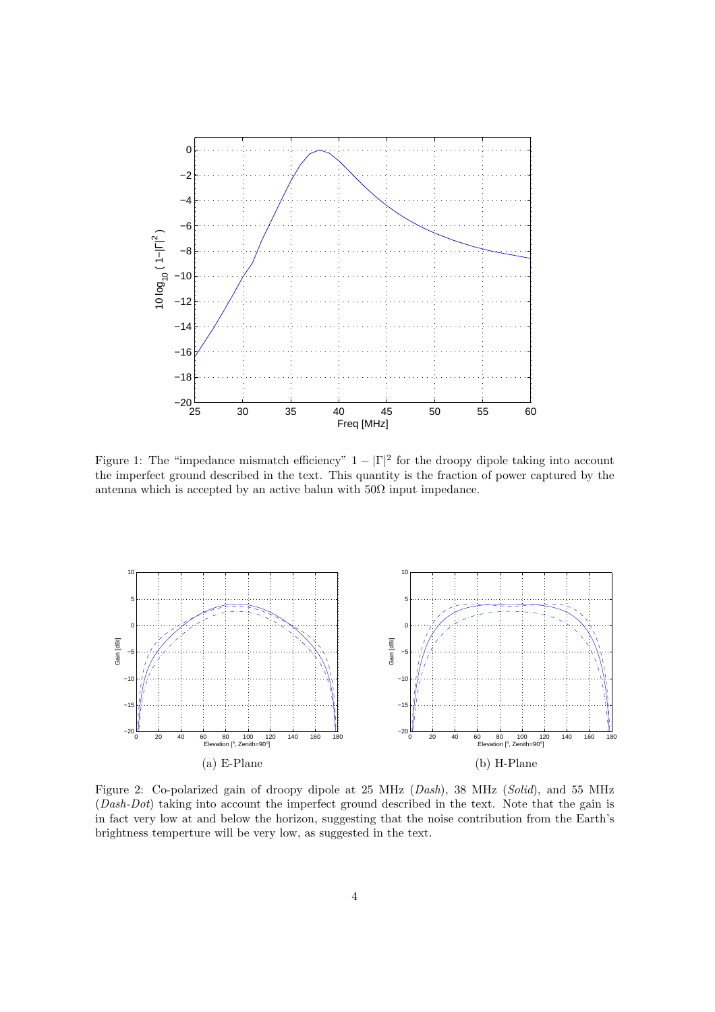

Figure 1: The "impedance mismatch efficiency"  $1 - |\Gamma|^2$  for the droopy dipole taking into account the imperfect ground described in the text. This quantity is the fraction of power captured by the antenna which is accepted by an active balun with  $50\Omega$  input impedance.



Figure 2: Co-polarized gain of droopy dipole at 25 MHz (Dash), 38 MHz (Solid), and 55 MHz (Dash-Dot) taking into account the imperfect ground described in the text. Note that the gain is in fact very low at and below the horizon, suggesting that the noise contribution from the Earth's brightness temperture will be very low, as suggested in the text.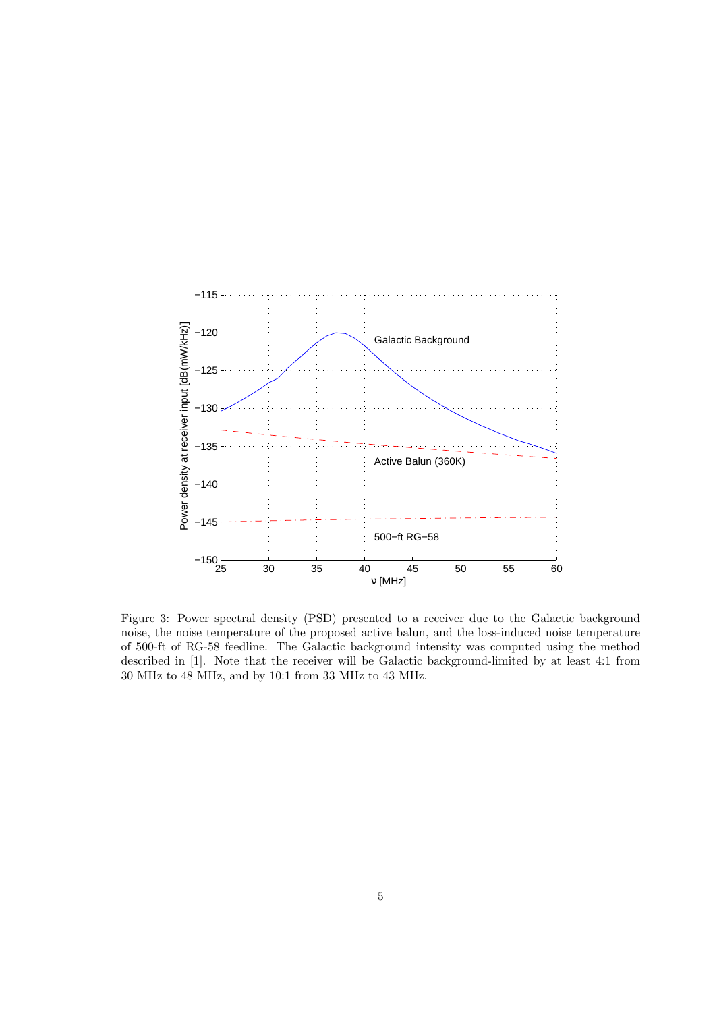

Figure 3: Power spectral density (PSD) presented to a receiver due to the Galactic background noise, the noise temperature of the proposed active balun, and the loss-induced noise temperature of 500-ft of RG-58 feedline. The Galactic background intensity was computed using the method described in [1]. Note that the receiver will be Galactic background-limited by at least 4:1 from 30 MHz to 48 MHz, and by 10:1 from 33 MHz to 43 MHz.